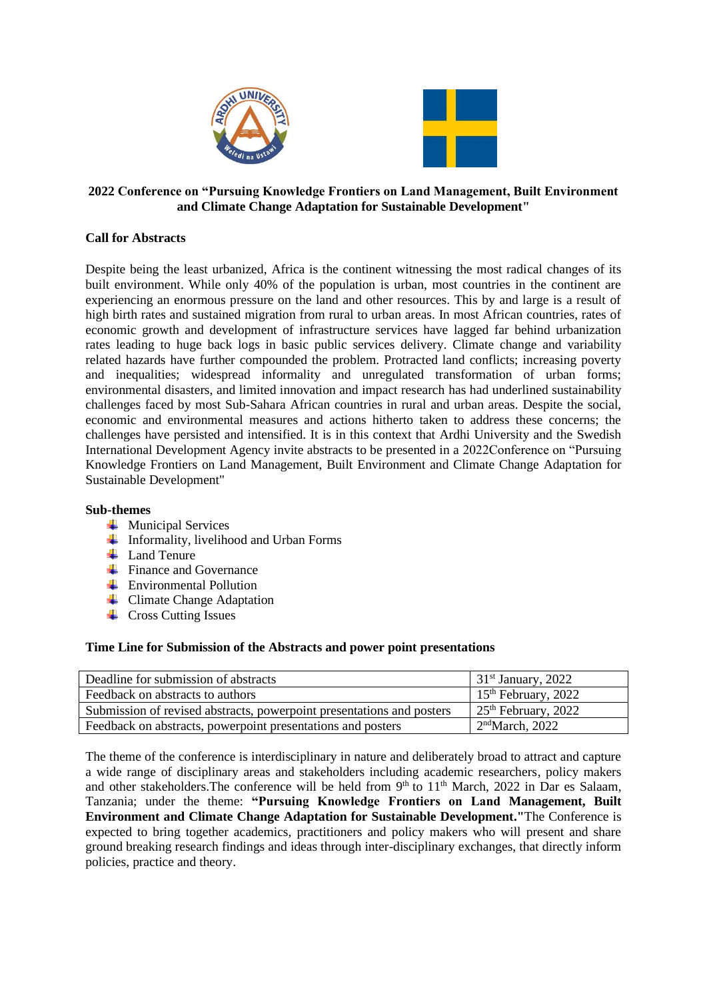

## **2022 Conference on "Pursuing Knowledge Frontiers on Land Management, Built Environment and Climate Change Adaptation for Sustainable Development"**

## **Call for Abstracts**

Despite being the least urbanized, Africa is the continent witnessing the most radical changes of its built environment. While only 40% of the population is urban, most countries in the continent are experiencing an enormous pressure on the land and other resources. This by and large is a result of high birth rates and sustained migration from rural to urban areas. In most African countries, rates of economic growth and development of infrastructure services have lagged far behind urbanization rates leading to huge back logs in basic public services delivery. Climate change and variability related hazards have further compounded the problem. Protracted land conflicts; increasing poverty and inequalities; widespread informality and unregulated transformation of urban forms; environmental disasters, and limited innovation and impact research has had underlined sustainability challenges faced by most Sub-Sahara African countries in rural and urban areas. Despite the social, economic and environmental measures and actions hitherto taken to address these concerns; the challenges have persisted and intensified. It is in this context that Ardhi University and the Swedish International Development Agency invite abstracts to be presented in a 2022Conference on "Pursuing Knowledge Frontiers on Land Management, Built Environment and Climate Change Adaptation for Sustainable Development"

## **Sub-themes**

- $\blacksquare$  Municipal Services
- $\overline{\text{I}}$  Informality, livelihood and Urban Forms
- $\downarrow$  Land Tenure
- $\frac{1}{\sqrt{2}}$  Finance and Governance
- **Environmental Pollution**
- $\leftarrow$  Climate Change Adaptation
- $\leftarrow$  Cross Cutting Issues

## **Time Line for Submission of the Abstracts and power point presentations**

| Deadline for submission of abstracts                                  | $\frac{31^{st}}{31^{st}}$ January, 2022                |
|-----------------------------------------------------------------------|--------------------------------------------------------|
| Feedback on abstracts to authors                                      | $15th$ February, 2022                                  |
| Submission of revised abstracts, powerpoint presentations and posters | $\frac{25^{\text{th}}}{25^{\text{th}}}$ February, 2022 |
| Feedback on abstracts, powerpoint presentations and posters           | 2 <sup>nd</sup> March, 2022                            |

The theme of the conference is interdisciplinary in nature and deliberately broad to attract and capture a wide range of disciplinary areas and stakeholders including academic researchers, policy makers and other stakeholders. The conference will be held from 9<sup>th</sup> to 11<sup>th</sup> March, 2022 in Dar es Salaam, Tanzania; under the theme: **"Pursuing Knowledge Frontiers on Land Management, Built Environment and Climate Change Adaptation for Sustainable Development."**The Conference is expected to bring together academics, practitioners and policy makers who will present and share ground breaking research findings and ideas through inter-disciplinary exchanges, that directly inform policies, practice and theory.